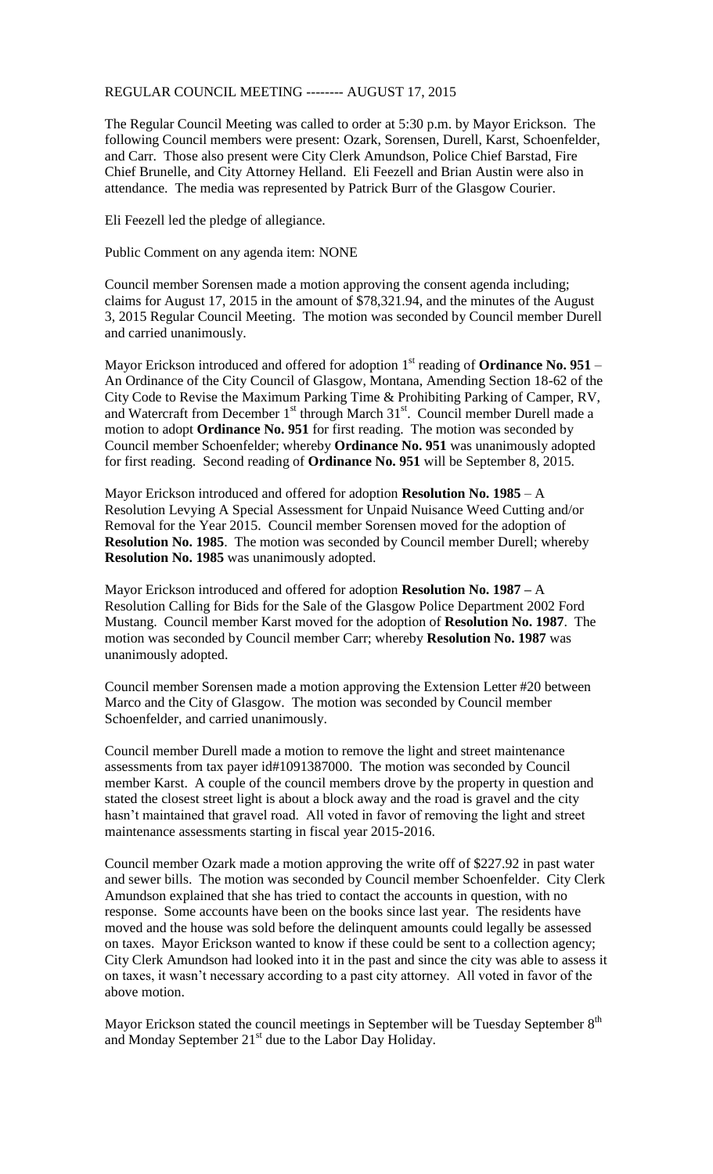REGULAR COUNCIL MEETING -------- AUGUST 17, 2015

The Regular Council Meeting was called to order at 5:30 p.m. by Mayor Erickson. The following Council members were present: Ozark, Sorensen, Durell, Karst, Schoenfelder, and Carr. Those also present were City Clerk Amundson, Police Chief Barstad, Fire Chief Brunelle, and City Attorney Helland. Eli Feezell and Brian Austin were also in attendance. The media was represented by Patrick Burr of the Glasgow Courier.

Eli Feezell led the pledge of allegiance.

Public Comment on any agenda item: NONE

Council member Sorensen made a motion approving the consent agenda including; claims for August 17, 2015 in the amount of \$78,321.94, and the minutes of the August 3, 2015 Regular Council Meeting. The motion was seconded by Council member Durell and carried unanimously.

Mayor Erickson introduced and offered for adoption 1<sup>st</sup> reading of **Ordinance No. 951** – An Ordinance of the City Council of Glasgow, Montana, Amending Section 18-62 of the City Code to Revise the Maximum Parking Time & Prohibiting Parking of Camper, RV, and Watercraft from December 1<sup>st</sup> through March 31<sup>st</sup>. Council member Durell made a motion to adopt **Ordinance No. 951** for first reading. The motion was seconded by Council member Schoenfelder; whereby **Ordinance No. 951** was unanimously adopted for first reading. Second reading of **Ordinance No. 951** will be September 8, 2015.

Mayor Erickson introduced and offered for adoption **Resolution No. 1985** – A Resolution Levying A Special Assessment for Unpaid Nuisance Weed Cutting and/or Removal for the Year 2015. Council member Sorensen moved for the adoption of **Resolution No. 1985**. The motion was seconded by Council member Durell; whereby **Resolution No. 1985** was unanimously adopted.

Mayor Erickson introduced and offered for adoption **Resolution No. 1987 –** A Resolution Calling for Bids for the Sale of the Glasgow Police Department 2002 Ford Mustang. Council member Karst moved for the adoption of **Resolution No. 1987**. The motion was seconded by Council member Carr; whereby **Resolution No. 1987** was unanimously adopted.

Council member Sorensen made a motion approving the Extension Letter #20 between Marco and the City of Glasgow. The motion was seconded by Council member Schoenfelder, and carried unanimously.

Council member Durell made a motion to remove the light and street maintenance assessments from tax payer id#1091387000. The motion was seconded by Council member Karst. A couple of the council members drove by the property in question and stated the closest street light is about a block away and the road is gravel and the city hasn't maintained that gravel road. All voted in favor of removing the light and street maintenance assessments starting in fiscal year 2015-2016.

Council member Ozark made a motion approving the write off of \$227.92 in past water and sewer bills. The motion was seconded by Council member Schoenfelder. City Clerk Amundson explained that she has tried to contact the accounts in question, with no response. Some accounts have been on the books since last year. The residents have moved and the house was sold before the delinquent amounts could legally be assessed on taxes. Mayor Erickson wanted to know if these could be sent to a collection agency; City Clerk Amundson had looked into it in the past and since the city was able to assess it on taxes, it wasn't necessary according to a past city attorney. All voted in favor of the above motion.

Mayor Erickson stated the council meetings in September will be Tuesday September 8<sup>th</sup> and Monday September 21<sup>st</sup> due to the Labor Day Holiday.